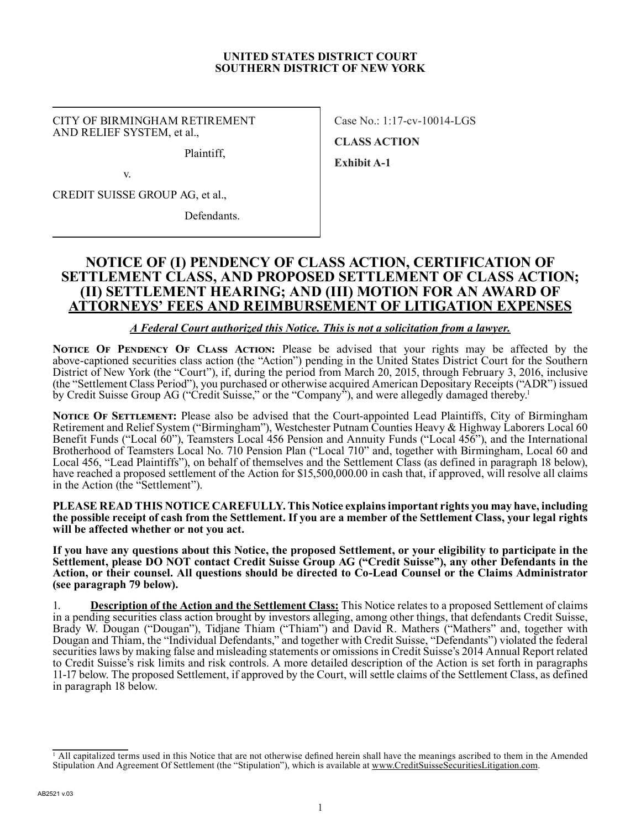#### **UNITED STATES DISTRICT COURT SOUTHERN DISTRICT OF NEW YORK**

CITY OF BIRMINGHAM RETIREMENT AND RELIEF SYSTEM, et al.,

Plaintiff,

v.

CREDIT SUISSE GROUP AG, et al.,

Defendants.

Case No.: 1:17-cv-10014-LGS **CLASS ACTION Exhibit A-1**

# **NOTICE OF (I) PENDENCY OF CLASS ACTION, CERTIFICATION OF SETTLEMENT CLASS, AND PROPOSED SETTLEMENT OF CLASS ACTION; (II) SETTLEMENT HEARING; AND (III) MOTION FOR AN AWARD OF ATTORNEYS' FEES AND REIMBURSEMENT OF LITIGATION EXPENSES**

*A Federal Court authorized this Notice. This is not a solicitation from a lawyer.*

**NOTICE OF PENDENCY OF CLASS ACTION:** Please be advised that your rights may be affected by the above-captioned securities class action (the "Action") pending in the United States District Court for the Southern District of New York (the "Court"), if, during the period from March 20, 2015, through February 3, 2016, inclusive (the "Settlement Class Period"), you purchased or otherwise acquired American Depositary Receipts ("ADR") issued by Credit Suisse Group AG ("Credit Suisse," or the "Company"), and were allegedly damaged thereby.<sup>1</sup>

**NOTICE OF SETTLEMENT:** Please also be advised that the Court-appointed Lead Plaintiffs, City of Birmingham Retirement and Relief System ("Birmingham"), Westchester Putnam Counties Heavy & Highway Laborers Local 60 Benefit Funds ("Local 60"), Teamsters Local 456 Pension and Annuity Funds ("Local 456"), and the International Brotherhood of Teamsters Local No. 710 Pension Plan ("Local 710" and, together with Birmingham, Local 60 and Local 456, "Lead Plaintiffs"), on behalf of themselves and the Settlement Class (as defined in paragraph 18 below), have reached a proposed settlement of the Action for \$15,500,000.00 in cash that, if approved, will resolve all claims in the Action (the "Settlement").

**PLEASE READ THIS NOTICE CAREFULLY. This Notice explains important rights you may have, including the possible receipt of cash from the Settlement. If you are a member of the Settlement Class, your legal rights will be affected whether or not you act.**

**If you have any questions about this Notice, the proposed Settlement, or your eligibility to participate in the Settlement, please DO NOT contact Credit Suisse Group AG ("Credit Suisse"), any other Defendants in the Action, or their counsel. All questions should be directed to Co-Lead Counsel or the Claims Administrator (see paragraph 79 below).**

1. **Description of the Action and the Settlement Class:** This Notice relates to a proposed Settlement of claims in a pending securities class action brought by investors alleging, among other things, that defendants Credit Suisse, Brady W. Dougan ("Dougan"), Tidjane Thiam ("Thiam") and David R. Mathers ("Mathers" and, together with Dougan and Thiam, the "Individual Defendants," and together with Credit Suisse, "Defendants") violated the federal securities laws by making false and misleading statements or omissions in Credit Suisse's 2014 Annual Report related to Credit Suisse's risk limits and risk controls. A more detailed description of the Action is set forth in paragraphs 11-17 below. The proposed Settlement, if approved by the Court, will settle claims of the Settlement Class, as defined in paragraph 18 below.

<sup>&</sup>lt;sup>1</sup> All capitalized terms used in this Notice that are not otherwise defined herein shall have the meanings ascribed to them in the Amended Stipulation And Agreement Of Settlement (the "Stipulation"), which is available at www.CreditSuisseSecuritiesLitigation.com.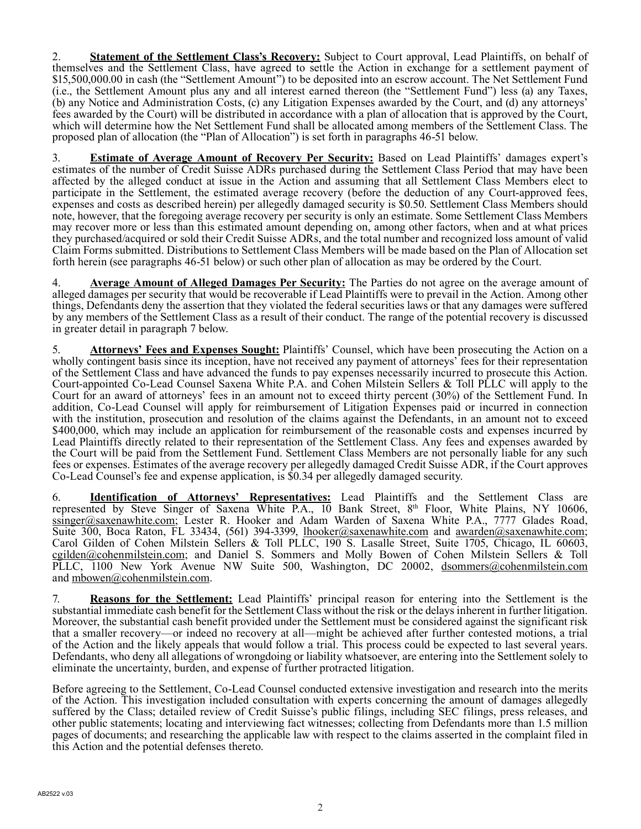2. **Statement of the Settlement Class's Recovery:** Subject to Court approval, Lead Plaintiffs, on behalf of themselves and the Settlement Class, have agreed to settle the Action in exchange for a settlement payment of \$15,500,000.00 in cash (the "Settlement Amount") to be deposited into an escrow account. The Net Settlement Fund (i.e., the Settlement Amount plus any and all interest earned thereon (the "Settlement Fund") less (a) any Taxes, (b) any Notice and Administration Costs, (c) any Litigation Expenses awarded by the Court, and (d) any attorneys' fees awarded by the Court) will be distributed in accordance with a plan of allocation that is approved by the Court, which will determine how the Net Settlement Fund shall be allocated among members of the Settlement Class. The proposed plan of allocation (the "Plan of Allocation") is set forth in paragraphs 46-51 below.

3. **Estimate of Average Amount of Recovery Per Security:** Based on Lead Plaintiffs' damages expert's estimates of the number of Credit Suisse ADRs purchased during the Settlement Class Period that may have been affected by the alleged conduct at issue in the Action and assuming that all Settlement Class Members elect to participate in the Settlement, the estimated average recovery (before the deduction of any Court-approved fees, expenses and costs as described herein) per allegedly damaged security is \$0.50. Settlement Class Members should note, however, that the foregoing average recovery per security is only an estimate. Some Settlement Class Members may recover more or less than this estimated amount depending on, among other factors, when and at what prices they purchased/acquired or sold their Credit Suisse ADRs, and the total number and recognized loss amount of valid Claim Forms submitted. Distributions to Settlement Class Members will be made based on the Plan of Allocation set forth herein (see paragraphs 46-51 below) or such other plan of allocation as may be ordered by the Court.

4. **Average Amount of Alleged Damages Per Security:** The Parties do not agree on the average amount of alleged damages per security that would be recoverable if Lead Plaintiffs were to prevail in the Action. Among other things, Defendants deny the assertion that they violated the federal securities laws or that any damages were suffered by any members of the Settlement Class as a result of their conduct. The range of the potential recovery is discussed in greater detail in paragraph 7 below.

5. **Attorneys' Fees and Expenses Sought:** Plaintiffs' Counsel, which have been prosecuting the Action on a wholly contingent basis since its inception, have not received any payment of attorneys' fees for their representation of the Settlement Class and have advanced the funds to pay expenses necessarily incurred to prosecute this Action. Court-appointed Co-Lead Counsel Saxena White P.A. and Cohen Milstein Sellers & Toll PLLC will apply to the Court for an award of attorneys' fees in an amount not to exceed thirty percent (30%) of the Settlement Fund. In addition, Co-Lead Counsel will apply for reimbursement of Litigation Expenses paid or incurred in connection with the institution, prosecution and resolution of the claims against the Defendants, in an amount not to exceed \$400,000, which may include an application for reimbursement of the reasonable costs and expenses incurred by Lead Plaintiffs directly related to their representation of the Settlement Class. Any fees and expenses awarded by the Court will be paid from the Settlement Fund. Settlement Class Members are not personally liable for any such fees or expenses. Estimates of the average recovery per allegedly damaged Credit Suisse ADR, if the Court approves Co-Lead Counsel's fee and expense application, is \$0.34 per allegedly damaged security.

6. **Identification of Attorneys' Representatives:** Lead Plaintiffs and the Settlement Class are represented by Steve Singer of Saxena White P.A., 10 Bank Street, 8th Floor, White Plains, NY 10606, ssinger@saxenawhite.com; Lester R. Hooker and Adam Warden of Saxena White P.A., 7777 Glades Road, Suite 300, Boca Raton, FL 33434, (561) 394-3399, lhooker@saxenawhite.com and awarden@saxenawhite.com; Carol Gilden of Cohen Milstein Sellers & Toll PLLC, 190 S. Lasalle Street, Suite 1705, Chicago, IL 60603, cgilden@cohenmilstein.com; and Daniel S. Sommers and Molly Bowen of Cohen Milstein Sellers & Toll PLLC, 1100 New York Avenue NW Suite 500, Washington, DC 20002, dsommers@cohenmilstein.com and mbowen@cohenmilstein.com.

7. **Reasons for the Settlement:** Lead Plaintiffs' principal reason for entering into the Settlement is the substantial immediate cash benefit for the Settlement Class without the risk or the delays inherent in further litigation. Moreover, the substantial cash benefit provided under the Settlement must be considered against the significant risk that a smaller recovery—or indeed no recovery at all—might be achieved after further contested motions, a trial of the Action and the likely appeals that would follow a trial. This process could be expected to last several years. Defendants, who deny all allegations of wrongdoing or liability whatsoever, are entering into the Settlement solely to eliminate the uncertainty, burden, and expense of further protracted litigation.

Before agreeing to the Settlement, Co-Lead Counsel conducted extensive investigation and research into the merits of the Action. This investigation included consultation with experts concerning the amount of damages allegedly suffered by the Class; detailed review of Credit Suisse's public filings, including SEC filings, press releases, and other public statements; locating and interviewing fact witnesses; collecting from Defendants more than 1.5 million pages of documents; and researching the applicable law with respect to the claims asserted in the complaint filed in this Action and the potential defenses thereto.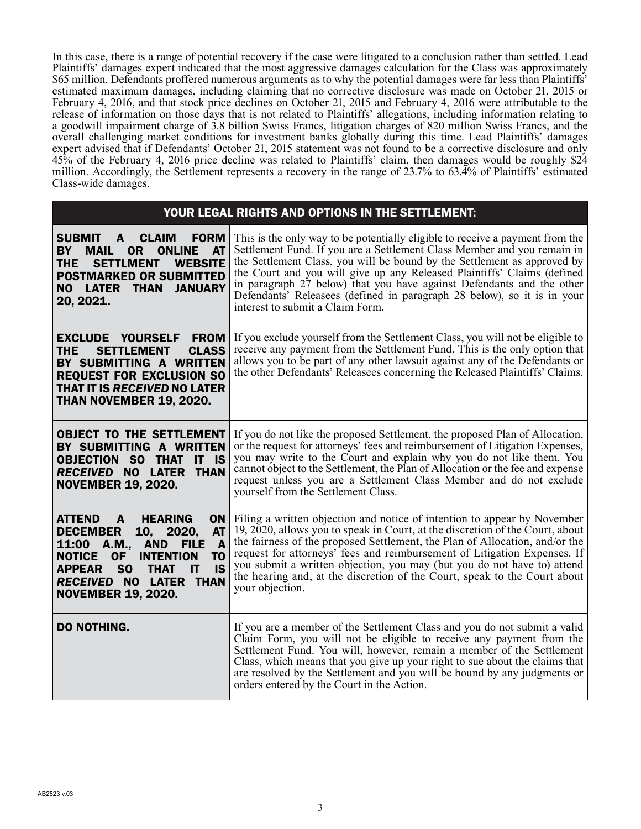In this case, there is a range of potential recovery if the case were litigated to a conclusion rather than settled. Lead Plaintiffs' damages expert indicated that the most aggressive damages calculation for the Class was approximately \$65 million. Defendants proffered numerous arguments as to why the potential damages were far less than Plaintiffs' estimated maximum damages, including claiming that no corrective disclosure was made on October 21, 2015 or February 4, 2016, and that stock price declines on October 21, 2015 and February 4, 2016 were attributable to the release of information on those days that is not related to Plaintiffs' allegations, including information relating to a goodwill impairment charge of 3.8 billion Swiss Francs, litigation charges of 820 million Swiss Francs, and the overall challenging market conditions for investment banks globally during this time. Lead Plaintiffs' damages expert advised that if Defendants' October 21, 2015 statement was not found to be a corrective disclosure and only 45% of the February 4, 2016 price decline was related to Plaintiffs' claim, then damages would be roughly \$24 million. Accordingly, the Settlement represents a recovery in the range of 23.7% to 63.4% of Plaintiffs' estimated Class-wide damages.

| YOUR LEGAL RIGHTS AND OPTIONS IN THE SETTLEMENT:                                                                                                                                                                                                                                                                                                    |                                                                                                                                                                                                                                                                                                                                                                                                                                                                                                         |  |  |  |
|-----------------------------------------------------------------------------------------------------------------------------------------------------------------------------------------------------------------------------------------------------------------------------------------------------------------------------------------------------|---------------------------------------------------------------------------------------------------------------------------------------------------------------------------------------------------------------------------------------------------------------------------------------------------------------------------------------------------------------------------------------------------------------------------------------------------------------------------------------------------------|--|--|--|
| <b>SUBMIT</b><br><b>FORM</b><br>$\blacksquare$<br><b>CLAIM</b><br><b>ONLINE AT</b><br>BY<br>0R<br><b>MAIL</b><br><b>THE</b><br><b>SETTLMENT</b><br><b>WEBSITE</b><br><b>POSTMARKED OR SUBMITTED</b><br><b>LATER THAN</b><br><b>JANUARY</b><br><b>NO</b><br>20, 2021.                                                                                | This is the only way to be potentially eligible to receive a payment from the<br>Settlement Fund. If you are a Settlement Class Member and you remain in<br>the Settlement Class, you will be bound by the Settlement as approved by<br>the Court and you will give up any Released Plaintiffs' Claims (defined<br>in paragraph 27 below) that you have against Defendants and the other<br>Defendants' Releasees (defined in paragraph 28 below), so it is in your<br>interest to submit a Claim Form. |  |  |  |
| <b>EXCLUDE YOURSELF FROM</b><br><b>CLASS</b><br><b>SETTLEMENT</b><br>THE<br>BY SUBMITTING A WRITTEN<br><b>REQUEST FOR EXCLUSION SO</b><br>THAT IT IS RECEIVED NO LATER<br>THAN NOVEMBER 19, 2020.                                                                                                                                                   | If you exclude yourself from the Settlement Class, you will not be eligible to<br>receive any payment from the Settlement Fund. This is the only option that<br>allows you to be part of any other lawsuit against any of the Defendants or<br>the other Defendants' Releasees concerning the Released Plaintiffs' Claims.                                                                                                                                                                              |  |  |  |
| <b>OBJECT TO THE SETTLEMENT</b><br>BY SUBMITTING A WRITTEN<br><b>OBJECTION SO THAT</b><br>$IT$ IS<br>RECEIVED NO LATER THAN<br><b>NOVEMBER 19, 2020.</b>                                                                                                                                                                                            | If you do not like the proposed Settlement, the proposed Plan of Allocation,<br>or the request for attorneys' fees and reimbursement of Litigation Expenses,<br>you may write to the Court and explain why you do not like them. You<br>cannot object to the Settlement, the Plan of Allocation or the fee and expense<br>request unless you are a Settlement Class Member and do not exclude<br>yourself from the Settlement Class.                                                                    |  |  |  |
| <b>HEARING</b><br><b>ON</b><br><b>ATTEND</b><br>A<br><b>AT</b><br><b>DECEMBER</b><br>10, 2020,<br>$\mathbf{A}$<br>11:00 A.M.,<br><b>AND</b><br><b>FILE</b><br>T <sub>0</sub><br><b>NOTICE</b><br><b>OF</b><br><b>INTENTION</b><br>S <sub>O</sub><br><b>IS</b><br><b>APPEAR</b><br>IT<br>THAT<br>RECEIVED NO LATER THAN<br><b>NOVEMBER 19, 2020.</b> | Filing a written objection and notice of intention to appear by November<br>19, 2020, allows you to speak in Court, at the discretion of the Court, about<br>the fairness of the proposed Settlement, the Plan of Allocation, and/or the<br>request for attorneys' fees and reimbursement of Litigation Expenses. If<br>you submit a written objection, you may (but you do not have to) attend<br>the hearing and, at the discretion of the Court, speak to the Court about<br>your objection.         |  |  |  |
| <b>DO NOTHING.</b>                                                                                                                                                                                                                                                                                                                                  | If you are a member of the Settlement Class and you do not submit a valid<br>Claim Form, you will not be eligible to receive any payment from the<br>Settlement Fund. You will, however, remain a member of the Settlement<br>Class, which means that you give up your right to sue about the claims that<br>are resolved by the Settlement and you will be bound by any judgments or<br>orders entered by the Court in the Action.                                                                     |  |  |  |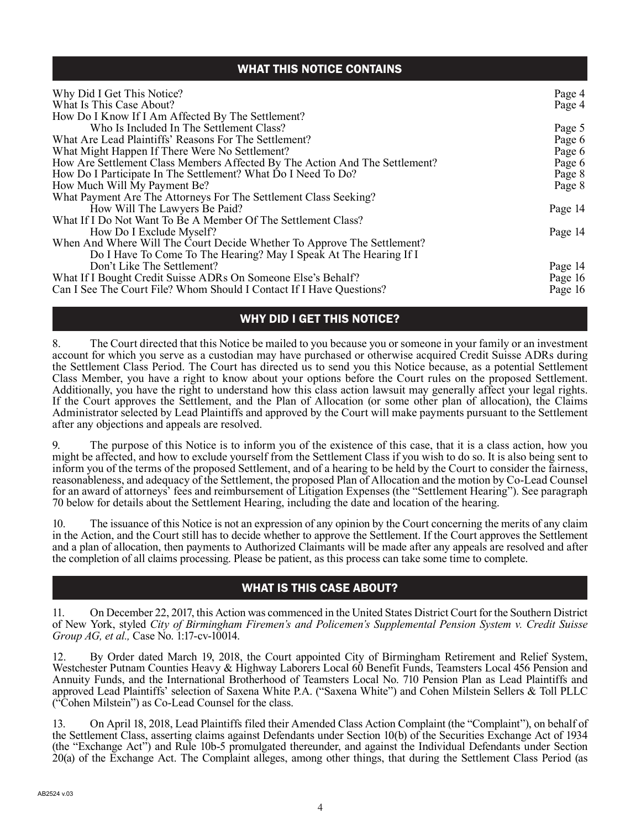# WHAT THIS NOTICE CONTAINS

| Why Did I Get This Notice?                                                  | Page 4  |
|-----------------------------------------------------------------------------|---------|
| What Is This Case About?                                                    | Page 4  |
| How Do I Know If I Am Affected By The Settlement?                           |         |
| Who Is Included In The Settlement Class?                                    | Page 5  |
| What Are Lead Plaintiffs' Reasons For The Settlement?                       | Page 6  |
| What Might Happen If There Were No Settlement?                              | Page 6  |
| How Are Settlement Class Members Affected By The Action And The Settlement? | Page 6  |
| How Do I Participate In The Settlement? What Do I Need To Do?               | Page 8  |
| How Much Will My Payment Be?                                                | Page 8  |
| What Payment Are The Attorneys For The Settlement Class Seeking?            |         |
| How Will The Lawyers Be Paid?                                               | Page 14 |
| What If I Do Not Want To Be A Member Of The Settlement Class?               |         |
| How Do I Exclude Myself?                                                    | Page 14 |
| When And Where Will The Court Decide Whether To Approve The Settlement?     |         |
| Do I Have To Come To The Hearing? May I Speak At The Hearing If I           |         |
| Don't Like The Settlement?                                                  | Page 14 |
| What If I Bought Credit Suisse ADRs On Someone Else's Behalf?               | Page 16 |
| Can I See The Court File? Whom Should I Contact If I Have Questions?        | Page 16 |

# WHY DID I GET THIS NOTICE?

8. The Court directed that this Notice be mailed to you because you or someone in your family or an investment account for which you serve as a custodian may have purchased or otherwise acquired Credit Suisse ADRs during the Settlement Class Period. The Court has directed us to send you this Notice because, as a potential Settlement Class Member, you have a right to know about your options before the Court rules on the proposed Settlement. Additionally, you have the right to understand how this class action lawsuit may generally affect your legal rights. If the Court approves the Settlement, and the Plan of Allocation (or some other plan of allocation), the Claims Administrator selected by Lead Plaintiffs and approved by the Court will make payments pursuant to the Settlement after any objections and appeals are resolved.

9. The purpose of this Notice is to inform you of the existence of this case, that it is a class action, how you might be affected, and how to exclude yourself from the Settlement Class if you wish to do so. It is also being sent to inform you of the terms of the proposed Settlement, and of a hearing to be held by the Court to consider the fairness, reasonableness, and adequacy of the Settlement, the proposed Plan of Allocation and the motion by Co-Lead Counsel for an award of attorneys' fees and reimbursement of Litigation Expenses (the "Settlement Hearing"). See paragraph 70 below for details about the Settlement Hearing, including the date and location of the hearing.

10. The issuance of this Notice is not an expression of any opinion by the Court concerning the merits of any claim in the Action, and the Court still has to decide whether to approve the Settlement. If the Court approves the Settlement and a plan of allocation, then payments to Authorized Claimants will be made after any appeals are resolved and after the completion of all claims processing. Please be patient, as this process can take some time to complete.

# WHAT IS THIS CASE ABOUT?

11. On December 22, 2017, this Action was commenced in the United States District Court for the Southern District of New York, styled *City of Birmingham Firemen's and Policemen's Supplemental Pension System v. Credit Suisse Group AG, et al., Case No.* 1:17-cv-10014.

12. By Order dated March 19, 2018, the Court appointed City of Birmingham Retirement and Relief System, Westchester Putnam Counties Heavy & Highway Laborers Local 60 Benefit Funds, Teamsters Local 456 Pension and Annuity Funds, and the International Brotherhood of Teamsters Local No. 710 Pension Plan as Lead Plaintiffs and approved Lead Plaintiffs' selection of Saxena White P.A. ("Saxena White") and Cohen Milstein Sellers & Toll PLLC ("Cohen Milstein") as Co-Lead Counsel for the class.

13. On April 18, 2018, Lead Plaintiffs filed their Amended Class Action Complaint (the "Complaint"), on behalf of the Settlement Class, asserting claims against Defendants under Section 10(b) of the Securities Exchange Act of 1934 (the "Exchange Act") and Rule 10b-5 promulgated thereunder, and against the Individual Defendants under Section 20(a) of the Exchange Act. The Complaint alleges, among other things, that during the Settlement Class Period (as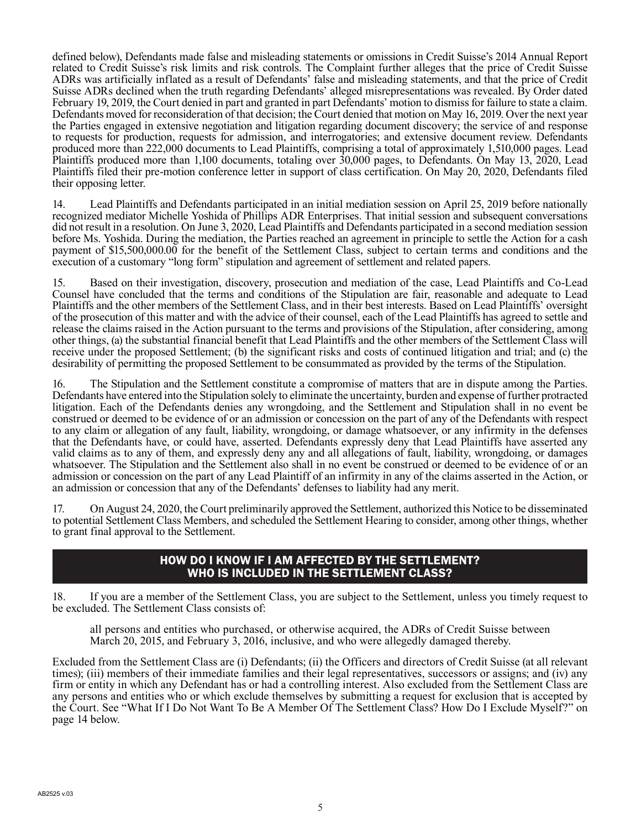defined below), Defendants made false and misleading statements or omissions in Credit Suisse's 2014 Annual Report related to Credit Suisse's risk limits and risk controls. The Complaint further alleges that the price of Credit Suisse ADRs was artificially inflated as a result of Defendants' false and misleading statements, and that the price of Credit Suisse ADRs declined when the truth regarding Defendants' alleged misrepresentations was revealed. By Order dated February 19, 2019, the Court denied in part and granted in part Defendants' motion to dismiss for failure to state a claim. Defendants moved for reconsideration of that decision; the Court denied that motion on May 16, 2019. Over the next year the Parties engaged in extensive negotiation and litigation regarding document discovery; the service of and response to requests for production, requests for admission, and interrogatories; and extensive document review. Defendants produced more than 222,000 documents to Lead Plaintiffs, comprising a total of approximately 1,510,000 pages. Lead Plaintiffs produced more than 1,100 documents, totaling over 30,000 pages, to Defendants. On May 13, 2020, Lead Plaintiffs filed their pre-motion conference letter in support of class certification. On May 20, 2020, Defendants filed their opposing letter.

14. Lead Plaintiffs and Defendants participated in an initial mediation session on April 25, 2019 before nationally recognized mediator Michelle Yoshida of Phillips ADR Enterprises. That initial session and subsequent conversations did not result in a resolution. On June 3, 2020, Lead Plaintiffs and Defendants participated in a second mediation session before Ms. Yoshida. During the mediation, the Parties reached an agreement in principle to settle the Action for a cash payment of \$15,500,000.00 for the benefit of the Settlement Class, subject to certain terms and conditions and the execution of a customary "long form" stipulation and agreement of settlement and related papers.

15. Based on their investigation, discovery, prosecution and mediation of the case, Lead Plaintiffs and Co-Lead Counsel have concluded that the terms and conditions of the Stipulation are fair, reasonable and adequate to Lead Plaintiffs and the other members of the Settlement Class, and in their best interests. Based on Lead Plaintiffs' oversight of the prosecution of this matter and with the advice of their counsel, each of the Lead Plaintiffs has agreed to settle and release the claims raised in the Action pursuant to the terms and provisions of the Stipulation, after considering, among other things, (a) the substantial financial benefit that Lead Plaintiffs and the other members of the Settlement Class will receive under the proposed Settlement; (b) the significant risks and costs of continued litigation and trial; and (c) the desirability of permitting the proposed Settlement to be consummated as provided by the terms of the Stipulation.

16. The Stipulation and the Settlement constitute a compromise of matters that are in dispute among the Parties. Defendants have entered into the Stipulation solely to eliminate the uncertainty, burden and expense of further protracted litigation. Each of the Defendants denies any wrongdoing, and the Settlement and Stipulation shall in no event be construed or deemed to be evidence of or an admission or concession on the part of any of the Defendants with respect to any claim or allegation of any fault, liability, wrongdoing, or damage whatsoever, or any infirmity in the defenses that the Defendants have, or could have, asserted. Defendants expressly deny that Lead Plaintiffs have asserted any valid claims as to any of them, and expressly deny any and all allegations of fault, liability, wrongdoing, or damages whatsoever. The Stipulation and the Settlement also shall in no event be construed or deemed to be evidence of or an admission or concession on the part of any Lead Plaintiff of an infirmity in any of the claims asserted in the Action, or an admission or concession that any of the Defendants' defenses to liability had any merit.

17. On August 24, 2020, the Court preliminarily approved the Settlement, authorized this Notice to be disseminated to potential Settlement Class Members, and scheduled the Settlement Hearing to consider, among other things, whether to grant final approval to the Settlement.

### HOW DO I KNOW IF I AM AFFECTED BY THE SETTLEMENT? WHO IS INCLUDED IN THE SETTLEMENT CLASS?

18. If you are a member of the Settlement Class, you are subject to the Settlement, unless you timely request to be excluded. The Settlement Class consists of:

all persons and entities who purchased, or otherwise acquired, the ADRs of Credit Suisse between March 20, 2015, and February 3, 2016, inclusive, and who were allegedly damaged thereby.

Excluded from the Settlement Class are (i) Defendants; (ii) the Officers and directors of Credit Suisse (at all relevant times); (iii) members of their immediate families and their legal representatives, successors or assigns; and (iv) any firm or entity in which any Defendant has or had a controlling interest. Also excluded from the Settlement Class are any persons and entities who or which exclude themselves by submitting a request for exclusion that is accepted by the Court. See "What If I Do Not Want To Be A Member Of The Settlement Class? How Do I Exclude Myself?" on page 14 below.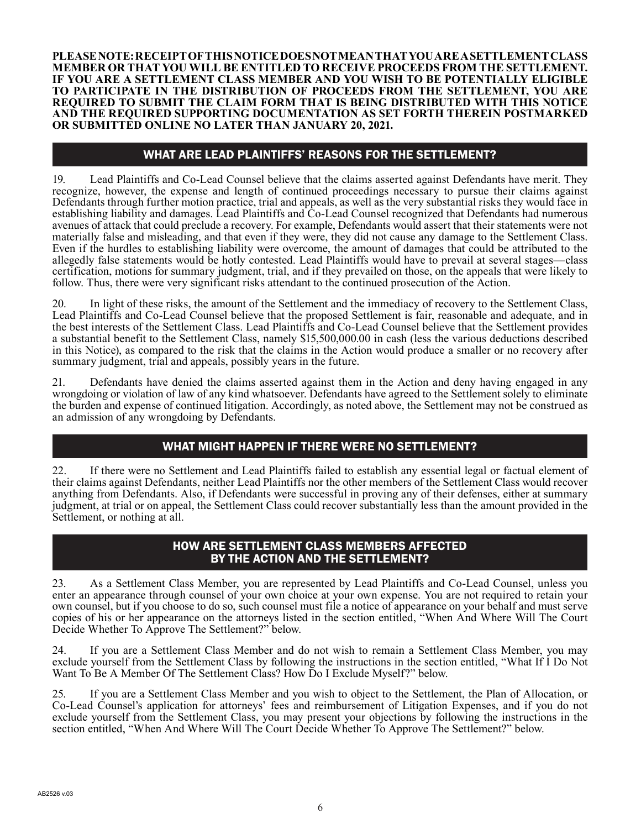**PLEASE NOTE: RECEIPT OF THIS NOTICE DOES NOT MEAN THAT YOU ARE A SETTLEMENT CLASS MEMBER OR THAT YOU WILL BE ENTITLED TO RECEIVE PROCEEDS FROM THE SETTLEMENT. IF YOU ARE A SETTLEMENT CLASS MEMBER AND YOU WISH TO BE POTENTIALLY ELIGIBLE TO PARTICIPATE IN THE DISTRIBUTION OF PROCEEDS FROM THE SETTLEMENT, YOU ARE REQUIRED TO SUBMIT THE CLAIM FORM THAT IS BEING DISTRIBUTED WITH THIS NOTICE AND THE REQUIRED SUPPORTING DOCUMENTATION AS SET FORTH THEREIN POSTMARKED OR SUBMITTED ONLINE NO LATER THAN JANUARY 20, 2021.**

# WHAT ARE LEAD PLAINTIFFS' REASONS FOR THE SETTLEMENT?

19. Lead Plaintiffs and Co-Lead Counsel believe that the claims asserted against Defendants have merit. They recognize, however, the expense and length of continued proceedings necessary to pursue their claims against Defendants through further motion practice, trial and appeals, as well as the very substantial risks they would face in establishing liability and damages. Lead Plaintiffs and Co-Lead Counsel recognized that Defendants had numerous avenues of attack that could preclude a recovery. For example, Defendants would assert that their statements were not materially false and misleading, and that even if they were, they did not cause any damage to the Settlement Class. Even if the hurdles to establishing liability were overcome, the amount of damages that could be attributed to the allegedly false statements would be hotly contested. Lead Plaintiffs would have to prevail at several stages—class certification, motions for summary judgment, trial, and if they prevailed on those, on the appeals that were likely to follow. Thus, there were very significant risks attendant to the continued prosecution of the Action.

20. In light of these risks, the amount of the Settlement and the immediacy of recovery to the Settlement Class, Lead Plaintiffs and Co-Lead Counsel believe that the proposed Settlement is fair, reasonable and adequate, and in the best interests of the Settlement Class. Lead Plaintiffs and Co-Lead Counsel believe that the Settlement provides a substantial benefit to the Settlement Class, namely \$15,500,000.00 in cash (less the various deductions described in this Notice), as compared to the risk that the claims in the Action would produce a smaller or no recovery after summary judgment, trial and appeals, possibly years in the future.

21. Defendants have denied the claims asserted against them in the Action and deny having engaged in any wrongdoing or violation of law of any kind whatsoever. Defendants have agreed to the Settlement solely to eliminate the burden and expense of continued litigation. Accordingly, as noted above, the Settlement may not be construed as an admission of any wrongdoing by Defendants.

# WHAT MIGHT HAPPEN IF THERE WERE NO SETTLEMENT?

22. If there were no Settlement and Lead Plaintiffs failed to establish any essential legal or factual element of their claims against Defendants, neither Lead Plaintiffs nor the other members of the Settlement Class would recover anything from Defendants. Also, if Defendants were successful in proving any of their defenses, either at summary judgment, at trial or on appeal, the Settlement Class could recover substantially less than the amount provided in the Settlement, or nothing at all.

# HOW ARE SETTLEMENT CLASS MEMBERS AFFECTED BY THE ACTION AND THE SETTLEMENT?

23. As a Settlement Class Member, you are represented by Lead Plaintiffs and Co-Lead Counsel, unless you enter an appearance through counsel of your own choice at your own expense. You are not required to retain your own counsel, but if you choose to do so, such counsel must file a notice of appearance on your behalf and must serve copies of his or her appearance on the attorneys listed in the section entitled, "When And Where Will The Court Decide Whether To Approve The Settlement?" below.

24. If you are a Settlement Class Member and do not wish to remain a Settlement Class Member, you may exclude yourself from the Settlement Class by following the instructions in the section entitled, "What If I Do Not Want To Be A Member Of The Settlement Class? How Do I Exclude Myself?" below.

25. If you are a Settlement Class Member and you wish to object to the Settlement, the Plan of Allocation, or Co-Lead Counsel's application for attorneys' fees and reimbursement of Litigation Expenses, and if you do not exclude yourself from the Settlement Class, you may present your objections by following the instructions in the section entitled, "When And Where Will The Court Decide Whether To Approve The Settlement?" below.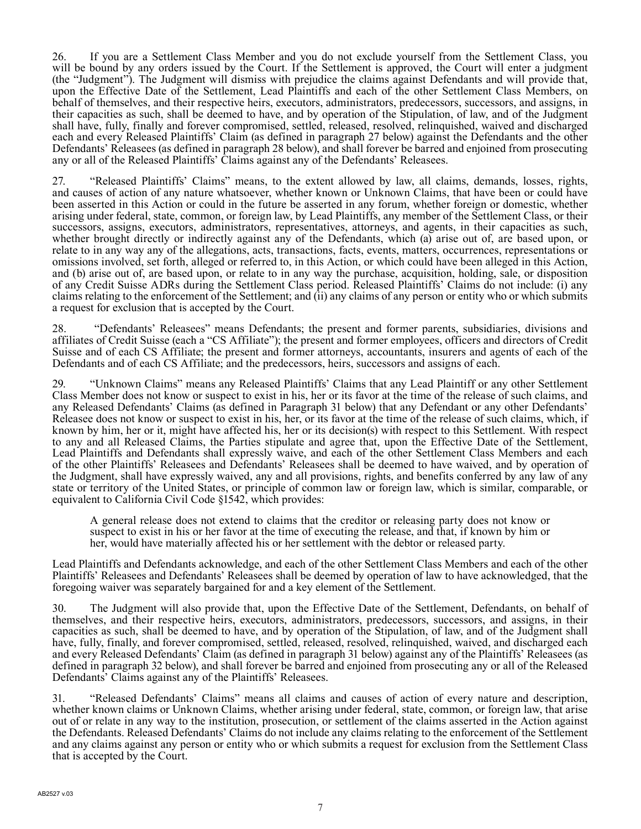26. If you are a Settlement Class Member and you do not exclude yourself from the Settlement Class, you will be bound by any orders issued by the Court. If the Settlement is approved, the Court will enter a judgment (the "Judgment"). The Judgment will dismiss with prejudice the claims against Defendants and will provide that, upon the Effective Date of the Settlement, Lead Plaintiffs and each of the other Settlement Class Members, on behalf of themselves, and their respective heirs, executors, administrators, predecessors, successors, and assigns, in their capacities as such, shall be deemed to have, and by operation of the Stipulation, of law, and of the Judgment shall have, fully, finally and forever compromised, settled, released, resolved, relinquished, waived and discharged each and every Released Plaintiffs' Claim (as defined in paragraph 27 below) against the Defendants and the other Defendants' Releasees (as defined in paragraph 28 below), and shall forever be barred and enjoined from prosecuting any or all of the Released Plaintiffs' Claims against any of the Defendants' Releasees.

27. "Released Plaintiffs' Claims" means, to the extent allowed by law, all claims, demands, losses, rights, and causes of action of any nature whatsoever, whether known or Unknown Claims, that have been or could have been asserted in this Action or could in the future be asserted in any forum, whether foreign or domestic, whether arising under federal, state, common, or foreign law, by Lead Plaintiffs, any member of the Settlement Class, or their successors, assigns, executors, administrators, representatives, attorneys, and agents, in their capacities as such, whether brought directly or indirectly against any of the Defendants, which (a) arise out of, are based upon, or relate to in any way any of the allegations, acts, transactions, facts, events, matters, occurrences, representations or omissions involved, set forth, alleged or referred to, in this Action, or which could have been alleged in this Action, and (b) arise out of, are based upon, or relate to in any way the purchase, acquisition, holding, sale, or disposition of any Credit Suisse ADRs during the Settlement Class period. Released Plaintiffs' Claims do not include: (i) any claims relating to the enforcement of the Settlement; and (ii) any claims of any person or entity who or which submits a request for exclusion that is accepted by the Court.

28. "Defendants' Releasees" means Defendants; the present and former parents, subsidiaries, divisions and affiliates of Credit Suisse (each a "CS Affiliate"); the present and former employees, officers and directors of Credit Suisse and of each CS Affiliate; the present and former attorneys, accountants, insurers and agents of each of the Defendants and of each CS Affiliate; and the predecessors, heirs, successors and assigns of each.

29. "Unknown Claims" means any Released Plaintiffs' Claims that any Lead Plaintiff or any other Settlement Class Member does not know or suspect to exist in his, her or its favor at the time of the release of such claims, and any Released Defendants' Claims (as defined in Paragraph 31 below) that any Defendant or any other Defendants' Releasee does not know or suspect to exist in his, her, or its favor at the time of the release of such claims, which, if known by him, her or it, might have affected his, her or its decision(s) with respect to this Settlement. With respect to any and all Released Claims, the Parties stipulate and agree that, upon the Effective Date of the Settlement, Lead Plaintiffs and Defendants shall expressly waive, and each of the other Settlement Class Members and each of the other Plaintiffs' Releasees and Defendants' Releasees shall be deemed to have waived, and by operation of the Judgment, shall have expressly waived, any and all provisions, rights, and benefits conferred by any law of any state or territory of the United States, or principle of common law or foreign law, which is similar, comparable, or equivalent to California Civil Code §1542, which provides:

A general release does not extend to claims that the creditor or releasing party does not know or suspect to exist in his or her favor at the time of executing the release, and that, if known by him or her, would have materially affected his or her settlement with the debtor or released party.

Lead Plaintiffs and Defendants acknowledge, and each of the other Settlement Class Members and each of the other Plaintiffs' Releasees and Defendants' Releasees shall be deemed by operation of law to have acknowledged, that the foregoing waiver was separately bargained for and a key element of the Settlement.

30. The Judgment will also provide that, upon the Effective Date of the Settlement, Defendants, on behalf of themselves, and their respective heirs, executors, administrators, predecessors, successors, and assigns, in their capacities as such, shall be deemed to have, and by operation of the Stipulation, of law, and of the Judgment shall have, fully, finally, and forever compromised, settled, released, resolved, relinquished, waived, and discharged each and every Released Defendants' Claim (as defined in paragraph 31 below) against any of the Plaintiffs' Releasees (as defined in paragraph 32 below), and shall forever be barred and enjoined from prosecuting any or all of the Released Defendants' Claims against any of the Plaintiffs' Releasees.

31. "Released Defendants' Claims" means all claims and causes of action of every nature and description, whether known claims or Unknown Claims, whether arising under federal, state, common, or foreign law, that arise out of or relate in any way to the institution, prosecution, or settlement of the claims asserted in the Action against the Defendants. Released Defendants' Claims do not include any claims relating to the enforcement of the Settlement and any claims against any person or entity who or which submits a request for exclusion from the Settlement Class that is accepted by the Court.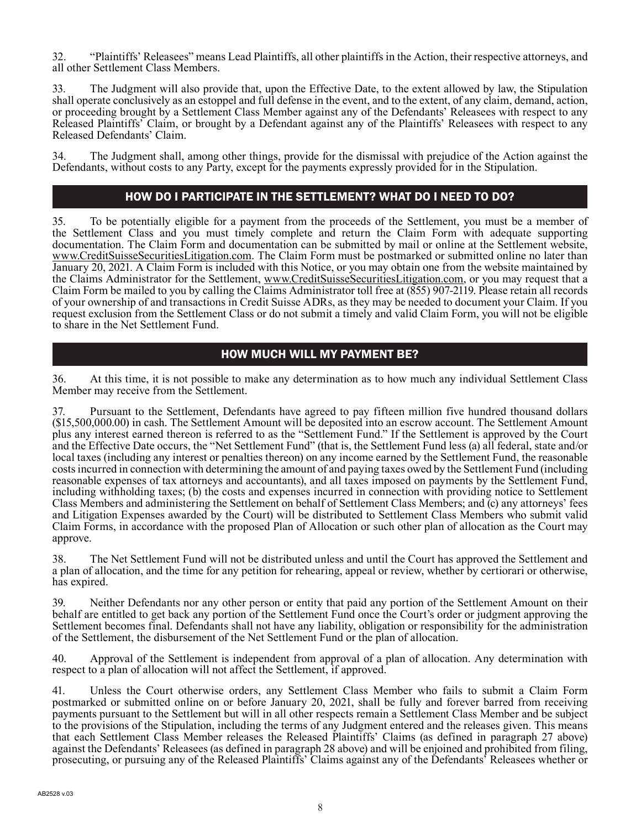32. "Plaintiffs' Releasees" means Lead Plaintiffs, all other plaintiffs in the Action, their respective attorneys, and all other Settlement Class Members.

33. The Judgment will also provide that, upon the Effective Date, to the extent allowed by law, the Stipulation shall operate conclusively as an estoppel and full defense in the event, and to the extent, of any claim, demand, action, or proceeding brought by a Settlement Class Member against any of the Defendants' Releasees with respect to any Released Plaintiffs' Claim, or brought by a Defendant against any of the Plaintiffs' Releasees with respect to any Released Defendants' Claim.

34. The Judgment shall, among other things, provide for the dismissal with prejudice of the Action against the Defendants, without costs to any Party, except for the payments expressly provided for in the Stipulation.

# HOW DO I PARTICIPATE IN THE SETTLEMENT? WHAT DO I NEED TO DO?

35. To be potentially eligible for a payment from the proceeds of the Settlement, you must be a member of the Settlement Class and you must timely complete and return the Claim Form with adequate supporting documentation. The Claim Form and documentation can be submitted by mail or online at the Settlement website, www.CreditSuisseSecuritiesLitigation.com. The Claim Form must be postmarked or submitted online no later than January 20, 2021. A Claim Form is included with this Notice, or you may obtain one from the website maintained by the Claims Administrator for the Settlement, www.CreditSuisseSecuritiesLitigation.com, or you may request that a Claim Form be mailed to you by calling the Claims Administrator toll free at (855) 907-2119. Please retain all records of your ownership of and transactions in Credit Suisse ADRs, as they may be needed to document your Claim. If you request exclusion from the Settlement Class or do not submit a timely and valid Claim Form, you will not be eligible to share in the Net Settlement Fund.

# HOW MUCH WILL MY PAYMENT BE?

36. At this time, it is not possible to make any determination as to how much any individual Settlement Class Member may receive from the Settlement.

37. Pursuant to the Settlement, Defendants have agreed to pay fifteen million five hundred thousand dollars (\$15,500,000.00) in cash. The Settlement Amount will be deposited into an escrow account. The Settlement Amount plus any interest earned thereon is referred to as the "Settlement Fund." If the Settlement is approved by the Court and the Effective Date occurs, the "Net Settlement Fund" (that is, the Settlement Fund less (a) all federal, state and/or local taxes (including any interest or penalties thereon) on any income earned by the Settlement Fund, the reasonable costs incurred in connection with determining the amount of and paying taxes owed by the Settlement Fund (including reasonable expenses of tax attorneys and accountants), and all taxes imposed on payments by the Settlement Fund, including withholding taxes; (b) the costs and expenses incurred in connection with providing notice to Settlement Class Members and administering the Settlement on behalf of Settlement Class Members; and (c) any attorneys' fees and Litigation Expenses awarded by the Court) will be distributed to Settlement Class Members who submit valid Claim Forms, in accordance with the proposed Plan of Allocation or such other plan of allocation as the Court may approve.

38. The Net Settlement Fund will not be distributed unless and until the Court has approved the Settlement and a plan of allocation, and the time for any petition for rehearing, appeal or review, whether by certiorari or otherwise, has expired.

39. Neither Defendants nor any other person or entity that paid any portion of the Settlement Amount on their behalf are entitled to get back any portion of the Settlement Fund once the Court's order or judgment approving the Settlement becomes final. Defendants shall not have any liability, obligation or responsibility for the administration of the Settlement, the disbursement of the Net Settlement Fund or the plan of allocation.

40. Approval of the Settlement is independent from approval of a plan of allocation. Any determination with respect to a plan of allocation will not affect the Settlement, if approved.

41. Unless the Court otherwise orders, any Settlement Class Member who fails to submit a Claim Form postmarked or submitted online on or before January 20, 2021, shall be fully and forever barred from receiving payments pursuant to the Settlement but will in all other respects remain a Settlement Class Member and be subject to the provisions of the Stipulation, including the terms of any Judgment entered and the releases given. This means that each Settlement Class Member releases the Released Plaintiffs' Claims (as defined in paragraph 27 above) against the Defendants' Releasees (as defined in paragraph 28 above) and will be enjoined and prohibited from filing, prosecuting, or pursuing any of the Released Plaintiffs' Claims against any of the Defendants' Releasees whether or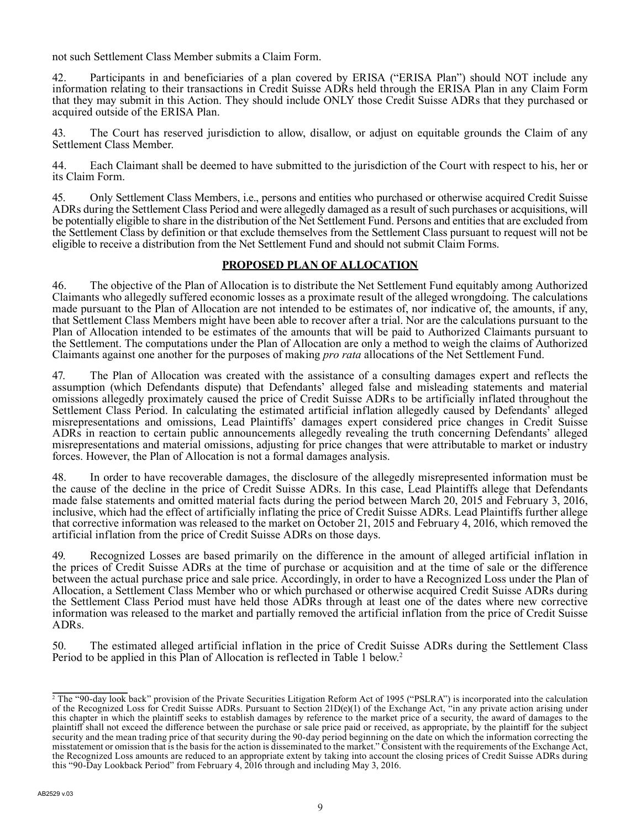not such Settlement Class Member submits a Claim Form.

42. Participants in and beneficiaries of a plan covered by ERISA ("ERISA Plan") should NOT include any information relating to their transactions in Credit Suisse ADRs held through the ERISA Plan in any Claim Form that they may submit in this Action. They should include ONLY those Credit Suisse ADRs that they purchased or acquired outside of the ERISA Plan.

43. The Court has reserved jurisdiction to allow, disallow, or adjust on equitable grounds the Claim of any Settlement Class Member.

44. Each Claimant shall be deemed to have submitted to the jurisdiction of the Court with respect to his, her or its Claim Form.

45. Only Settlement Class Members, i.e., persons and entities who purchased or otherwise acquired Credit Suisse ADRs during the Settlement Class Period and were allegedly damaged as a result of such purchases or acquisitions, will be potentially eligible to share in the distribution of the Net Settlement Fund. Persons and entities that are excluded from the Settlement Class by definition or that exclude themselves from the Settlement Class pursuant to request will not be eligible to receive a distribution from the Net Settlement Fund and should not submit Claim Forms.

### **PROPOSED PLAN OF ALLOCATION**

46. The objective of the Plan of Allocation is to distribute the Net Settlement Fund equitably among Authorized Claimants who allegedly suffered economic losses as a proximate result of the alleged wrongdoing. The calculations made pursuant to the Plan of Allocation are not intended to be estimates of, nor indicative of, the amounts, if any, that Settlement Class Members might have been able to recover after a trial. Nor are the calculations pursuant to the Plan of Allocation intended to be estimates of the amounts that will be paid to Authorized Claimants pursuant to the Settlement. The computations under the Plan of Allocation are only a method to weigh the claims of Authorized Claimants against one another for the purposes of making *pro rata* allocations of the Net Settlement Fund.

47. The Plan of Allocation was created with the assistance of a consulting damages expert and reflects the assumption (which Defendants dispute) that Defendants' alleged false and misleading statements and material omissions allegedly proximately caused the price of Credit Suisse ADRs to be artificially inflated throughout the Settlement Class Period. In calculating the estimated artificial inflation allegedly caused by Defendants' alleged misrepresentations and omissions, Lead Plaintiffs' damages expert considered price changes in Credit Suisse ADRs in reaction to certain public announcements allegedly revealing the truth concerning Defendants' alleged misrepresentations and material omissions, adjusting for price changes that were attributable to market or industry forces. However, the Plan of Allocation is not a formal damages analysis.

48. In order to have recoverable damages, the disclosure of the allegedly misrepresented information must be the cause of the decline in the price of Credit Suisse ADRs. In this case, Lead Plaintiffs allege that Defendants made false statements and omitted material facts during the period between March 20, 2015 and February 3, 2016, inclusive, which had the effect of artificially inflating the price of Credit Suisse ADRs. Lead Plaintiffs further allege that corrective information was released to the market on October 21, 2015 and February 4, 2016, which removed the artificial inflation from the price of Credit Suisse ADRs on those days.

49. Recognized Losses are based primarily on the difference in the amount of alleged artificial inflation in the prices of Credit Suisse ADRs at the time of purchase or acquisition and at the time of sale or the difference between the actual purchase price and sale price. Accordingly, in order to have a Recognized Loss under the Plan of Allocation, a Settlement Class Member who or which purchased or otherwise acquired Credit Suisse ADRs during the Settlement Class Period must have held those ADRs through at least one of the dates where new corrective information was released to the market and partially removed the artificial inflation from the price of Credit Suisse ADRs.

50. The estimated alleged artificial inflation in the price of Credit Suisse ADRs during the Settlement Class Period to be applied in this Plan of Allocation is reflected in Table 1 below.<sup>2</sup>

<sup>&</sup>lt;sup>2</sup> The "90-day look back" provision of the Private Securities Litigation Reform Act of 1995 ("PSLRA") is incorporated into the calculation of the Recognized Loss for Credit Suisse ADRs. Pursuant to Section 21D(e)(1) of the Exchange Act, "in any private action arising under this chapter in which the plaintiff seeks to establish damages by reference to the market price of a security, the award of damages to the plaintiff shall not exceed the difference between the purchase or sale price paid or received, as appropriate, by the plaintiff for the subject security and the mean trading price of that security during the 90-day period beginning on the date on which the information correcting the misstatement or omission that is the basis for the action is disseminated to the market." Consistent with the requirements of the Exchange Act, the Recognized Loss amounts are reduced to an appropriate extent by taking into account the closing prices of Credit Suisse ADRs during this "90-Day Lookback Period" from February 4, 2016 through and including May 3, 2016.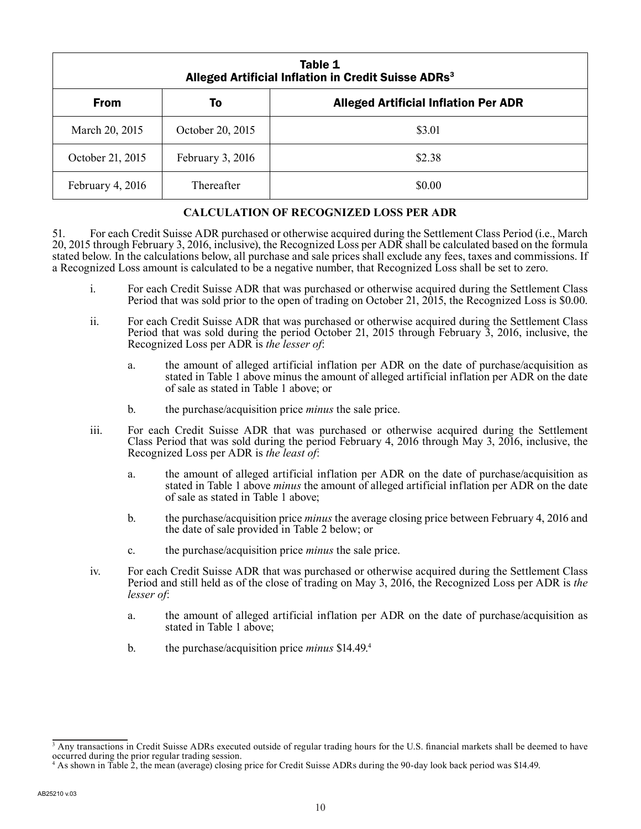| Table 1<br>Alleged Artificial Inflation in Credit Suisse ADRs <sup>3</sup> |                  |                                             |  |  |
|----------------------------------------------------------------------------|------------------|---------------------------------------------|--|--|
| <b>From</b>                                                                | To               | <b>Alleged Artificial Inflation Per ADR</b> |  |  |
| March 20, 2015                                                             | October 20, 2015 | \$3.01                                      |  |  |
| October 21, 2015                                                           | February 3, 2016 | \$2.38                                      |  |  |
| February 4, 2016                                                           | Thereafter       | \$0.00                                      |  |  |

#### **CALCULATION OF RECOGNIZED LOSS PER ADR**

51. For each Credit Suisse ADR purchased or otherwise acquired during the Settlement Class Period (i.e., March 20, 2015 through February 3, 2016, inclusive), the Recognized Loss per ADR shall be calculated based on the formula stated below. In the calculations below, all purchase and sale prices shall exclude any fees, taxes and commissions. If a Recognized Loss amount is calculated to be a negative number, that Recognized Loss shall be set to zero.

- i. For each Credit Suisse ADR that was purchased or otherwise acquired during the Settlement Class Period that was sold prior to the open of trading on October 21, 2015, the Recognized Loss is \$0.00.
- ii. For each Credit Suisse ADR that was purchased or otherwise acquired during the Settlement Class Period that was sold during the period October 21, 2015 through February 3, 2016, inclusive, the Recognized Loss per ADR is *the lesser of*:
	- a. the amount of alleged artificial inflation per ADR on the date of purchase/acquisition as stated in Table 1 above minus the amount of alleged artificial inflation per ADR on the date of sale as stated in Table 1 above; or
	- b. the purchase/acquisition price *minus* the sale price.
- iii. For each Credit Suisse ADR that was purchased or otherwise acquired during the Settlement Class Period that was sold during the period February 4, 2016 through May 3, 2016, inclusive, the Recognized Loss per ADR is *the least of*:
	- a. the amount of alleged artificial inflation per ADR on the date of purchase/acquisition as stated in Table 1 above *minus* the amount of alleged artificial inflation per ADR on the date of sale as stated in Table 1 above;
	- b. the purchase/acquisition price *minus* the average closing price between February 4, 2016 and the date of sale provided in Table 2 below; or
	- c. the purchase/acquisition price *minus* the sale price.
- iv. For each Credit Suisse ADR that was purchased or otherwise acquired during the Settlement Class Period and still held as of the close of trading on May 3, 2016, the Recognized Loss per ADR is *the lesser of*:
	- a. the amount of alleged artificial inflation per ADR on the date of purchase/acquisition as stated in Table 1 above;
	- b. the purchase/acquisition price *minus* \$14.49.4

<sup>&</sup>lt;sup>3</sup> Any transactions in Credit Suisse ADRs executed outside of regular trading hours for the U.S. financial markets shall be deemed to have occurred during the prior regular trading session.

<sup>4</sup> As shown in Table 2, the mean (average) closing price for Credit Suisse ADRs during the 90-day look back period was \$14.49.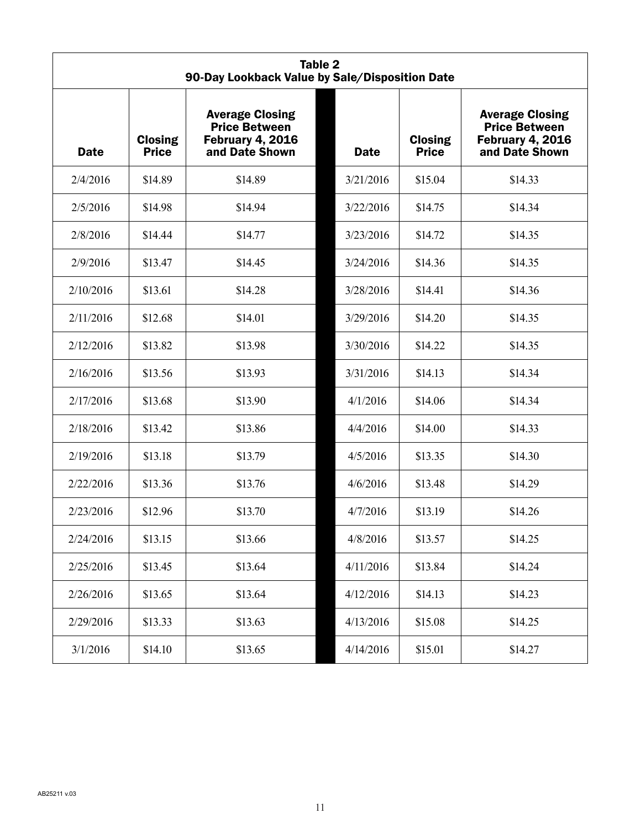| <b>Table 2</b><br>90-Day Lookback Value by Sale/Disposition Date |                                |                                                                                             |  |             |                                |                                                                                             |
|------------------------------------------------------------------|--------------------------------|---------------------------------------------------------------------------------------------|--|-------------|--------------------------------|---------------------------------------------------------------------------------------------|
| <b>Date</b>                                                      | <b>Closing</b><br><b>Price</b> | <b>Average Closing</b><br><b>Price Between</b><br><b>February 4, 2016</b><br>and Date Shown |  | <b>Date</b> | <b>Closing</b><br><b>Price</b> | <b>Average Closing</b><br><b>Price Between</b><br><b>February 4, 2016</b><br>and Date Shown |
| 2/4/2016                                                         | \$14.89                        | \$14.89                                                                                     |  | 3/21/2016   | \$15.04                        | \$14.33                                                                                     |
| 2/5/2016                                                         | \$14.98                        | \$14.94                                                                                     |  | 3/22/2016   | \$14.75                        | \$14.34                                                                                     |
| 2/8/2016                                                         | \$14.44                        | \$14.77                                                                                     |  | 3/23/2016   | \$14.72                        | \$14.35                                                                                     |
| 2/9/2016                                                         | \$13.47                        | \$14.45                                                                                     |  | 3/24/2016   | \$14.36                        | \$14.35                                                                                     |
| 2/10/2016                                                        | \$13.61                        | \$14.28                                                                                     |  | 3/28/2016   | \$14.41                        | \$14.36                                                                                     |
| 2/11/2016                                                        | \$12.68                        | \$14.01                                                                                     |  | 3/29/2016   | \$14.20                        | \$14.35                                                                                     |
| 2/12/2016                                                        | \$13.82                        | \$13.98                                                                                     |  | 3/30/2016   | \$14.22                        | \$14.35                                                                                     |
| 2/16/2016                                                        | \$13.56                        | \$13.93                                                                                     |  | 3/31/2016   | \$14.13                        | \$14.34                                                                                     |
| 2/17/2016                                                        | \$13.68                        | \$13.90                                                                                     |  | 4/1/2016    | \$14.06                        | \$14.34                                                                                     |
| 2/18/2016                                                        | \$13.42                        | \$13.86                                                                                     |  | 4/4/2016    | \$14.00                        | \$14.33                                                                                     |
| 2/19/2016                                                        | \$13.18                        | \$13.79                                                                                     |  | 4/5/2016    | \$13.35                        | \$14.30                                                                                     |
| 2/22/2016                                                        | \$13.36                        | \$13.76                                                                                     |  | 4/6/2016    | \$13.48                        | \$14.29                                                                                     |
| 2/23/2016                                                        | \$12.96                        | \$13.70                                                                                     |  | 4/7/2016    | \$13.19                        | \$14.26                                                                                     |
| 2/24/2016                                                        | \$13.15                        | \$13.66                                                                                     |  | 4/8/2016    | \$13.57                        | \$14.25                                                                                     |
| 2/25/2016                                                        | \$13.45                        | \$13.64                                                                                     |  | 4/11/2016   | \$13.84                        | \$14.24                                                                                     |
| 2/26/2016                                                        | \$13.65                        | \$13.64                                                                                     |  | 4/12/2016   | \$14.13                        | \$14.23                                                                                     |
| 2/29/2016                                                        | \$13.33                        | \$13.63                                                                                     |  | 4/13/2016   | \$15.08                        | \$14.25                                                                                     |
| 3/1/2016                                                         | \$14.10                        | \$13.65                                                                                     |  | 4/14/2016   | \$15.01                        | \$14.27                                                                                     |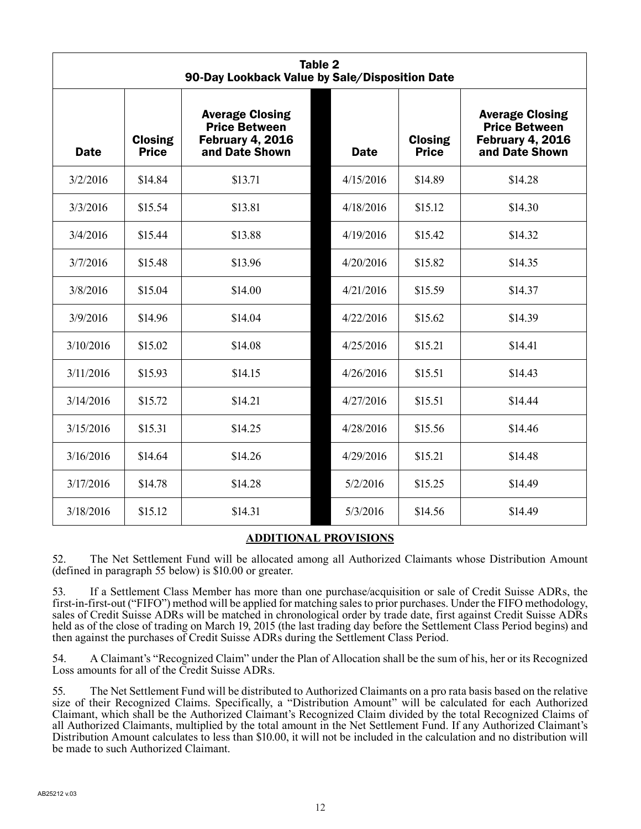| Table 2<br>90-Day Lookback Value by Sale/Disposition Date |                                |                                                                                             |  |             |                                |                                                                                             |
|-----------------------------------------------------------|--------------------------------|---------------------------------------------------------------------------------------------|--|-------------|--------------------------------|---------------------------------------------------------------------------------------------|
| <b>Date</b>                                               | <b>Closing</b><br><b>Price</b> | <b>Average Closing</b><br><b>Price Between</b><br><b>February 4, 2016</b><br>and Date Shown |  | <b>Date</b> | <b>Closing</b><br><b>Price</b> | <b>Average Closing</b><br><b>Price Between</b><br><b>February 4, 2016</b><br>and Date Shown |
| 3/2/2016                                                  | \$14.84                        | \$13.71                                                                                     |  | 4/15/2016   | \$14.89                        | \$14.28                                                                                     |
| 3/3/2016                                                  | \$15.54                        | \$13.81                                                                                     |  | 4/18/2016   | \$15.12                        | \$14.30                                                                                     |
| 3/4/2016                                                  | \$15.44                        | \$13.88                                                                                     |  | 4/19/2016   | \$15.42                        | \$14.32                                                                                     |
| 3/7/2016                                                  | \$15.48                        | \$13.96                                                                                     |  | 4/20/2016   | \$15.82                        | \$14.35                                                                                     |
| 3/8/2016                                                  | \$15.04                        | \$14.00                                                                                     |  | 4/21/2016   | \$15.59                        | \$14.37                                                                                     |
| 3/9/2016                                                  | \$14.96                        | \$14.04                                                                                     |  | 4/22/2016   | \$15.62                        | \$14.39                                                                                     |
| 3/10/2016                                                 | \$15.02                        | \$14.08                                                                                     |  | 4/25/2016   | \$15.21                        | \$14.41                                                                                     |
| 3/11/2016                                                 | \$15.93                        | \$14.15                                                                                     |  | 4/26/2016   | \$15.51                        | \$14.43                                                                                     |
| 3/14/2016                                                 | \$15.72                        | \$14.21                                                                                     |  | 4/27/2016   | \$15.51                        | \$14.44                                                                                     |
| 3/15/2016                                                 | \$15.31                        | \$14.25                                                                                     |  | 4/28/2016   | \$15.56                        | \$14.46                                                                                     |
| 3/16/2016                                                 | \$14.64                        | \$14.26                                                                                     |  | 4/29/2016   | \$15.21                        | \$14.48                                                                                     |
| 3/17/2016                                                 | \$14.78                        | \$14.28                                                                                     |  | 5/2/2016    | \$15.25                        | \$14.49                                                                                     |
| 3/18/2016                                                 | \$15.12                        | \$14.31                                                                                     |  | 5/3/2016    | \$14.56                        | \$14.49                                                                                     |

# **ADDITIONAL PROVISIONS**

52. The Net Settlement Fund will be allocated among all Authorized Claimants whose Distribution Amount (defined in paragraph 55 below) is \$10.00 or greater.

53. If a Settlement Class Member has more than one purchase/acquisition or sale of Credit Suisse ADRs, the first-in-first-out ("FIFO") method will be applied for matching sales to prior purchases. Under the FIFO methodology, sales of Credit Suisse ADRs will be matched in chronological order by trade date, first against Credit Suisse ADRs held as of the close of trading on March 19, 2015 (the last trading day before the Settlement Class Period begins) and then against the purchases of Credit Suisse ADRs during the Settlement Class Period.

54. A Claimant's "Recognized Claim" under the Plan of Allocation shall be the sum of his, her or its Recognized Loss amounts for all of the Credit Suisse ADRs.

55. The Net Settlement Fund will be distributed to Authorized Claimants on a pro rata basis based on the relative size of their Recognized Claims. Specifically, a "Distribution Amount" will be calculated for each Authorized Claimant, which shall be the Authorized Claimant's Recognized Claim divided by the total Recognized Claims of all Authorized Claimants, multiplied by the total amount in the Net Settlement Fund. If any Authorized Claimant's Distribution Amount calculates to less than \$10.00, it will not be included in the calculation and no distribution will be made to such Authorized Claimant.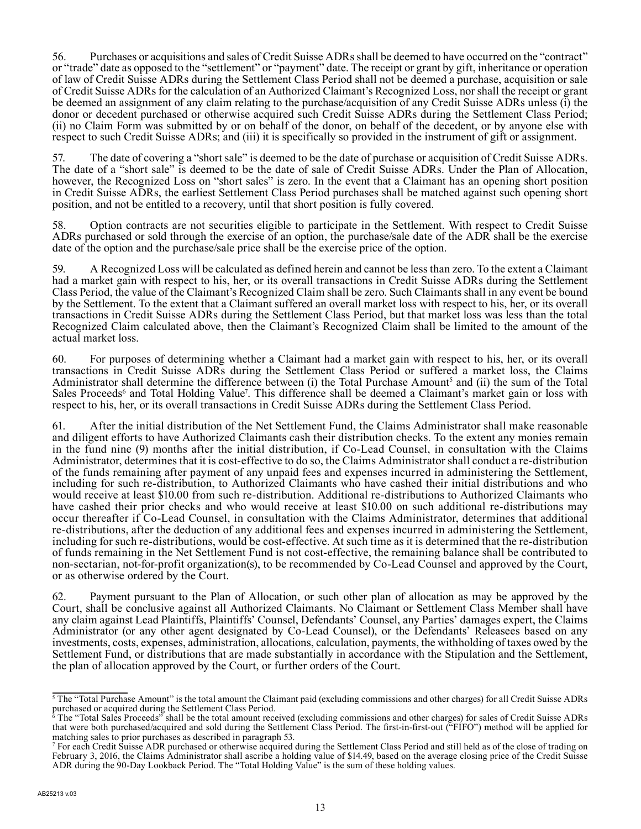56. Purchases or acquisitions and sales of Credit Suisse ADRs shall be deemed to have occurred on the "contract" or "trade" date as opposed to the "settlement" or "payment" date. The receipt or grant by gift, inheritance or operation of law of Credit Suisse ADRs during the Settlement Class Period shall not be deemed a purchase, acquisition or sale of Credit Suisse ADRs for the calculation of an Authorized Claimant's Recognized Loss, nor shall the receipt or grant be deemed an assignment of any claim relating to the purchase/acquisition of any Credit Suisse ADRs unless (i) the donor or decedent purchased or otherwise acquired such Credit Suisse ADRs during the Settlement Class Period; (ii) no Claim Form was submitted by or on behalf of the donor, on behalf of the decedent, or by anyone else with respect to such Credit Suisse ADRs; and (iii) it is specifically so provided in the instrument of gift or assignment.

57. The date of covering a "short sale" is deemed to be the date of purchase or acquisition of Credit Suisse ADRs. The date of a "short sale" is deemed to be the date of sale of Credit Suisse ADRs. Under the Plan of Allocation, however, the Recognized Loss on "short sales" is zero. In the event that a Claimant has an opening short position in Credit Suisse ADRs, the earliest Settlement Class Period purchases shall be matched against such opening short position, and not be entitled to a recovery, until that short position is fully covered.

58. Option contracts are not securities eligible to participate in the Settlement. With respect to Credit Suisse ADRs purchased or sold through the exercise of an option, the purchase/sale date of the ADR shall be the exercise date of the option and the purchase/sale price shall be the exercise price of the option.

59. A Recognized Loss will be calculated as defined herein and cannot be less than zero. To the extent a Claimant had a market gain with respect to his, her, or its overall transactions in Credit Suisse ADRs during the Settlement Class Period, the value of the Claimant's Recognized Claim shall be zero. Such Claimants shall in any event be bound by the Settlement. To the extent that a Claimant suffered an overall market loss with respect to his, her, or its overall transactions in Credit Suisse ADRs during the Settlement Class Period, but that market loss was less than the total Recognized Claim calculated above, then the Claimant's Recognized Claim shall be limited to the amount of the actual market loss.

60. For purposes of determining whether a Claimant had a market gain with respect to his, her, or its overall transactions in Credit Suisse ADRs during the Settlement Class Period or suffered a market loss, the Claims Administrator shall determine the difference between (i) the Total Purchase Amount<sup>5</sup> and (ii) the sum of the Total Sales Proceeds<sup>6</sup> and Total Holding Value<sup>7</sup>. This difference shall be deemed a Claimant's market gain or loss with respect to his, her, or its overall transactions in Credit Suisse ADRs during the Settlement Class Period.

61. After the initial distribution of the Net Settlement Fund, the Claims Administrator shall make reasonable and diligent efforts to have Authorized Claimants cash their distribution checks. To the extent any monies remain in the fund nine (9) months after the initial distribution, if Co-Lead Counsel, in consultation with the Claims Administrator, determines that it is cost-effective to do so, the Claims Administrator shall conduct a re-distribution of the funds remaining after payment of any unpaid fees and expenses incurred in administering the Settlement, including for such re-distribution, to Authorized Claimants who have cashed their initial distributions and who would receive at least \$10.00 from such re-distribution. Additional re-distributions to Authorized Claimants who have cashed their prior checks and who would receive at least \$10.00 on such additional re-distributions may occur thereafter if Co-Lead Counsel, in consultation with the Claims Administrator, determines that additional re-distributions, after the deduction of any additional fees and expenses incurred in administering the Settlement, including for such re-distributions, would be cost-effective. At such time as it is determined that the re-distribution of funds remaining in the Net Settlement Fund is not cost-effective, the remaining balance shall be contributed to non-sectarian, not-for-profit organization(s), to be recommended by Co-Lead Counsel and approved by the Court, or as otherwise ordered by the Court.

62. Payment pursuant to the Plan of Allocation, or such other plan of allocation as may be approved by the Court, shall be conclusive against all Authorized Claimants. No Claimant or Settlement Class Member shall have any claim against Lead Plaintiffs, Plaintiffs' Counsel, Defendants' Counsel, any Parties' damages expert, the Claims Administrator (or any other agent designated by Co-Lead Counsel), or the Defendants' Releasees based on any investments, costs, expenses, administration, allocations, calculation, payments, the withholding of taxes owed by the Settlement Fund, or distributions that are made substantially in accordance with the Stipulation and the Settlement, the plan of allocation approved by the Court, or further orders of the Court.

<sup>&</sup>lt;sup>5</sup> The "Total Purchase Amount" is the total amount the Claimant paid (excluding commissions and other charges) for all Credit Suisse ADRs

purchased or acquired during the Settlement Class Period. 6 The "Total Sales Proceeds" shall be the total amount received (excluding commissions and other charges) for sales of Credit Suisse ADRs that were both purchased/acquired and sold during the Settlement Class Period. The first-in-first-out ("FIFO") method will be applied for matching sales to prior purchases as described in paragraph 53.

<sup>7</sup> For each Credit Suisse ADR purchased or otherwise acquired during the Settlement Class Period and still held as of the close of trading on February 3, 2016, the Claims Administrator shall ascribe a holding value of \$14.49, based on the average closing price of the Credit Suisse ADR during the 90-Day Lookback Period. The "Total Holding Value" is the sum of these holding values.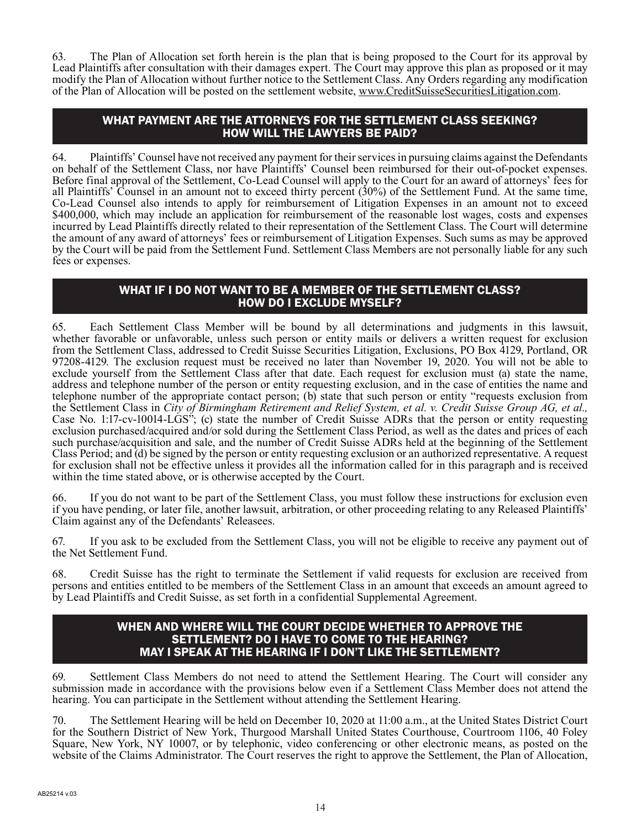63. The Plan of Allocation set forth herein is the plan that is being proposed to the Court for its approval by Lead Plaintiffs after consultation with their damages expert. The Court may approve this plan as proposed or it may modify the Plan of Allocation without further notice to the Settlement Class. Any Orders regarding any modification of the Plan of Allocation will be posted on the settlement website, www.CreditSuisseSecuritiesLitigation.com.

# WHAT PAYMENT ARE THE ATTORNEYS FOR THE SETTLEMENT CLASS SEEKING? HOW WILL THE LAWYERS BE PAID?

64. Plaintiffs' Counsel have not received any payment for their services in pursuing claims against the Defendants on behalf of the Settlement Class, nor have Plaintiffs' Counsel been reimbursed for their out-of-pocket expenses. Before final approval of the Settlement, Co-Lead Counsel will apply to the Court for an award of attorneys' fees for all Plaintiffs' Counsel in an amount not to exceed thirty percent (30%) of the Settlement Fund. At the same time, Co-Lead Counsel also intends to apply for reimbursement of Litigation Expenses in an amount not to exceed \$400,000, which may include an application for reimbursement of the reasonable lost wages, costs and expenses incurred by Lead Plaintiffs directly related to their representation of the Settlement Class. The Court will determine the amount of any award of attorneys' fees or reimbursement of Litigation Expenses. Such sums as may be approved by the Court will be paid from the Settlement Fund. Settlement Class Members are not personally liable for any such fees or expenses.

### WHAT IF I DO NOT WANT TO BE A MEMBER OF THE SETTLEMENT CLASS? HOW DO I EXCLUDE MYSELF?

65. Each Settlement Class Member will be bound by all determinations and judgments in this lawsuit, whether favorable or unfavorable, unless such person or entity mails or delivers a written request for exclusion from the Settlement Class, addressed to Credit Suisse Securities Litigation, Exclusions, PO Box 4129, Portland, OR 97208-4129. The exclusion request must be received no later than November 19, 2020. You will not be able to exclude yourself from the Settlement Class after that date. Each request for exclusion must (a) state the name, address and telephone number of the person or entity requesting exclusion, and in the case of entities the name and telephone number of the appropriate contact person; (b) state that such person or entity "requests exclusion from the Settlement Class in *City of Birmingham Retirement and Relief System, et al. v. Credit Suisse Group AG, et al.,* Case No. 1:17-cv-10014-LGS"; (c) state the number of Credit Suisse ADRs that the person or entity requesting exclusion purchased/acquired and/or sold during the Settlement Class Period, as well as the dates and prices of each such purchase/acquisition and sale, and the number of Credit Suisse ADRs held at the beginning of the Settlement Class Period; and (d) be signed by the person or entity requesting exclusion or an authorized representative. A request for exclusion shall not be effective unless it provides all the information called for in this paragraph and is received within the time stated above, or is otherwise accepted by the Court.

66. If you do not want to be part of the Settlement Class, you must follow these instructions for exclusion even if you have pending, or later file, another lawsuit, arbitration, or other proceeding relating to any Released Plaintiffs' Claim against any of the Defendants' Releasees.

67. If you ask to be excluded from the Settlement Class, you will not be eligible to receive any payment out of the Net Settlement Fund.

68. Credit Suisse has the right to terminate the Settlement if valid requests for exclusion are received from persons and entities entitled to be members of the Settlement Class in an amount that exceeds an amount agreed to by Lead Plaintiffs and Credit Suisse, as set forth in a confidential Supplemental Agreement.

#### WHEN AND WHERE WILL THE COURT DECIDE WHETHER TO APPROVE THE SETTLEMENT? DO I HAVE TO COME TO THE HEARING? MAY I SPEAK AT THE HEARING IF I DON'T LIKE THE SETTLEMENT?

69. Settlement Class Members do not need to attend the Settlement Hearing. The Court will consider any submission made in accordance with the provisions below even if a Settlement Class Member does not attend the hearing. You can participate in the Settlement without attending the Settlement Hearing.

The Settlement Hearing will be held on December 10, 2020 at 11:00 a.m., at the United States District Court for the Southern District of New York, Thurgood Marshall United States Courthouse, Courtroom 1106, 40 Foley Square, New York, NY 10007, or by telephonic, video conferencing or other electronic means, as posted on the website of the Claims Administrator. The Court reserves the right to approve the Settlement, the Plan of Allocation,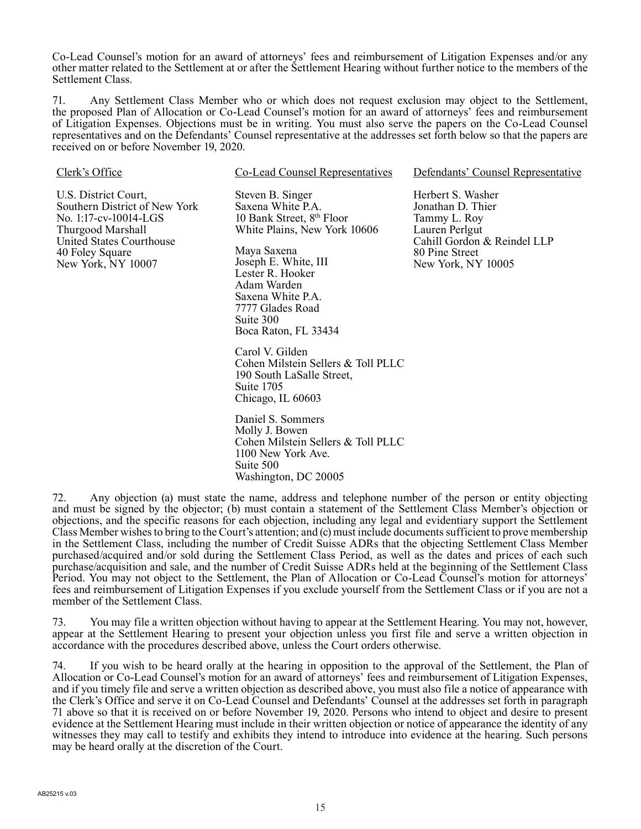Co-Lead Counsel's motion for an award of attorneys' fees and reimbursement of Litigation Expenses and/or any other matter related to the Settlement at or after the Settlement Hearing without further notice to the members of the Settlement Class.

71. Any Settlement Class Member who or which does not request exclusion may object to the Settlement, the proposed Plan of Allocation or Co-Lead Counsel's motion for an award of attorneys' fees and reimbursement of Litigation Expenses. Objections must be in writing. You must also serve the papers on the Co-Lead Counsel representatives and on the Defendants' Counsel representative at the addresses set forth below so that the papers are received on or before November 19, 2020.

| Clerk's Office                                                                                                                                                           | <b>Co-Lead Counsel Representatives</b>                                                                                                                                                                                                                                 | Defendants' Counsel Representative                                                                                                              |  |  |
|--------------------------------------------------------------------------------------------------------------------------------------------------------------------------|------------------------------------------------------------------------------------------------------------------------------------------------------------------------------------------------------------------------------------------------------------------------|-------------------------------------------------------------------------------------------------------------------------------------------------|--|--|
| U.S. District Court,<br>Southern District of New York<br>No. 1:17-cv-10014-LGS<br>Thurgood Marshall<br>United States Courthouse<br>40 Foley Square<br>New York, NY 10007 | Steven B. Singer<br>Saxena White P.A.<br>10 Bank Street, 8 <sup>th</sup> Floor<br>White Plains, New York 10606<br>Maya Saxena<br>Joseph E. White, III<br>Lester R. Hooker<br>Adam Warden<br>Saxena White P.A.<br>7777 Glades Road<br>Suite 300<br>Boca Raton, FL 33434 | Herbert S. Washer<br>Jonathan D. Thier<br>Tammy L. Roy<br>Lauren Perlgut<br>Cahill Gordon & Reindel LLP<br>80 Pine Street<br>New York, NY 10005 |  |  |
|                                                                                                                                                                          | Carol V. Gilden<br>Cohen Milstein Sellers & Toll PLLC<br>190 South LaSalle Street,<br>Suite 1705<br>Chicago, IL 60603                                                                                                                                                  |                                                                                                                                                 |  |  |
|                                                                                                                                                                          | Daniel S. Sommers<br>Molly J. Bowen<br>Cohen Milstein Sellers & Toll PLLC<br>1100 New York Ave.<br>Suite 500<br>Washington, DC 20005                                                                                                                                   |                                                                                                                                                 |  |  |

72. Any objection (a) must state the name, address and telephone number of the person or entity objecting and must be signed by the objector; (b) must contain a statement of the Settlement Class Member's objection or objections, and the specific reasons for each objection, including any legal and evidentiary support the Settlement Class Member wishes to bring to the Court's attention; and (c) must include documents sufficient to prove membership in the Settlement Class, including the number of Credit Suisse ADRs that the objecting Settlement Class Member purchased/acquired and/or sold during the Settlement Class Period, as well as the dates and prices of each such purchase/acquisition and sale, and the number of Credit Suisse ADRs held at the beginning of the Settlement Class Period. You may not object to the Settlement, the Plan of Allocation or Co-Lead Counsel's motion for attorneys' fees and reimbursement of Litigation Expenses if you exclude yourself from the Settlement Class or if you are not a member of the Settlement Class.

73. You may file a written objection without having to appear at the Settlement Hearing. You may not, however, appear at the Settlement Hearing to present your objection unless you first file and serve a written objection in accordance with the procedures described above, unless the Court orders otherwise.

74. If you wish to be heard orally at the hearing in opposition to the approval of the Settlement, the Plan of Allocation or Co-Lead Counsel's motion for an award of attorneys' fees and reimbursement of Litigation Expenses, and if you timely file and serve a written objection as described above, you must also file a notice of appearance with the Clerk's Office and serve it on Co-Lead Counsel and Defendants' Counsel at the addresses set forth in paragraph 71 above so that it is received on or before November 19, 2020. Persons who intend to object and desire to present evidence at the Settlement Hearing must include in their written objection or notice of appearance the identity of any witnesses they may call to testify and exhibits they intend to introduce into evidence at the hearing. Such persons may be heard orally at the discretion of the Court.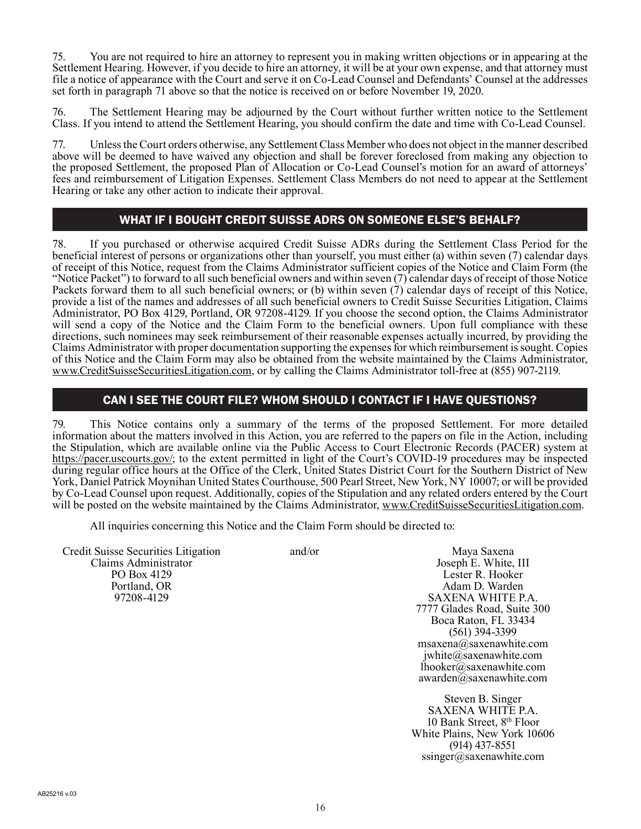75. You are not required to hire an attorney to represent you in making written objections or in appearing at the Settlement Hearing. However, if you decide to hire an attorney, it will be at your own expense, and that attorney must file a notice of appearance with the Court and serve it on Co-Lead Counsel and Defendants' Counsel at the addresses set forth in paragraph 71 above so that the notice is received on or before November 19, 2020.

76. The Settlement Hearing may be adjourned by the Court without further written notice to the Settlement Class. If you intend to attend the Settlement Hearing, you should confirm the date and time with Co-Lead Counsel.

77. Unless the Court orders otherwise, any Settlement Class Member who does not object in the manner described above will be deemed to have waived any objection and shall be forever foreclosed from making any objection to the proposed Settlement, the proposed Plan of Allocation or Co-Lead Counsel's motion for an award of attorneys' fees and reimbursement of Litigation Expenses. Settlement Class Members do not need to appear at the Settlement Hearing or take any other action to indicate their approval.

# WHAT IF I BOUGHT CREDIT SUISSE ADRS ON SOMEONE ELSE'S BEHALF?

78. If you purchased or otherwise acquired Credit Suisse ADRs during the Settlement Class Period for the beneficial interest of persons or organizations other than yourself, you must either (a) within seven (7) calendar days of receipt of this Notice, request from the Claims Administrator sufficient copies of the Notice and Claim Form (the "Notice Packet") to forward to all such beneficial owners and within seven (7) calendar days of receipt of those Notice Packets forward them to all such beneficial owners; or (b) within seven (7) calendar days of receipt of this Notice, provide a list of the names and addresses of all such beneficial owners to Credit Suisse Securities Litigation, Claims Administrator, PO Box 4129, Portland, OR 97208-4129. If you choose the second option, the Claims Administrator will send a copy of the Notice and the Claim Form to the beneficial owners. Upon full compliance with these directions, such nominees may seek reimbursement of their reasonable expenses actually incurred, by providing the Claims Administrator with proper documentation supporting the expenses for which reimbursement is sought. Copies of this Notice and the Claim Form may also be obtained from the website maintained by the Claims Administrator, www.CreditSuisseSecuritiesLitigation.com, or by calling the Claims Administrator toll-free at (855) 907-2119.

# CAN I SEE THE COURT FILE? WHOM SHOULD I CONTACT IF I HAVE QUESTIONS?

79. This Notice contains only a summary of the terms of the proposed Settlement. For more detailed information about the matters involved in this Action, you are referred to the papers on file in the Action, including the Stipulation, which are available online via the Public Access to Court Electronic Records (PACER) system at https://pacer.uscourts.gov/; to the extent permitted in light of the Court's COVID-19 procedures may be inspected during regular office hours at the Office of the Clerk, United States District Court for the Southern District of New York, Daniel Patrick Moynihan United States Courthouse, 500 Pearl Street, New York, NY 10007; or will be provided by Co-Lead Counsel upon request. Additionally, copies of the Stipulation and any related orders entered by the Court will be posted on the website maintained by the Claims Administrator, www.CreditSuisseSecuritiesLitigation.com.

All inquiries concerning this Notice and the Claim Form should be directed to:

Credit Suisse Securities Litigation Claims Administrator PO Box 4129 Portland, OR 97208-4129

and/or Maya Saxena Joseph E. White, III Lester R. Hooker Adam D. Warden SAXENA WHITE P.A. 7777 Glades Road, Suite 300 Boca Raton, FL 33434 (561) 394-3399 msaxena@saxenawhite.com jwhite@saxenawhite.com lhooker@saxenawhite.com awarden@saxenawhite.com

> Steven B. Singer SAXENA WHITE P.A. 10 Bank Street, 8th Floor White Plains, New York 10606 (914) 437-8551 ssinger@saxenawhite.com